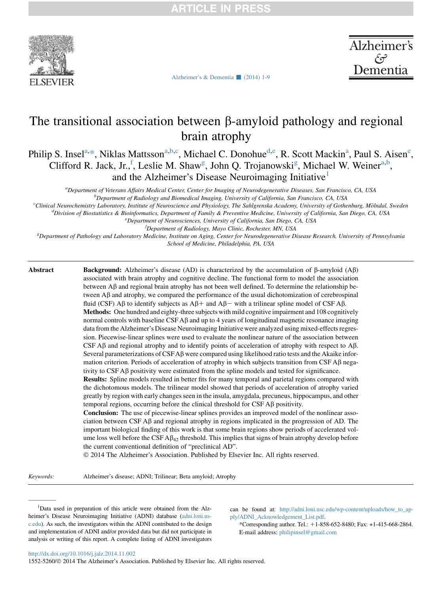

Alzheimer's Dementia

# The transitional association between  $\beta$ -amyloid pathology and regional brain atrophy

[Alzheimer's & Dementia](http://dx.doi.org/10.1016/j.jalz.2014.11.002)  $\Box$  (2014) 1-9

Philip S. Insel<sup>a,\*</sup>, Niklas Mattsson<sup>a,b,c</sup>, Michael C. Donohue<sup>d,e</sup>, R. Scott Mackin<sup>a</sup>, Paul S. Aisen<sup>e</sup>, Clifford R. Jack, Jr., <sup>f</sup>, Leslie M. Shaw<sup>g</sup>, John Q. Trojanowski<sup>g</sup>, Michael W. Weiner<sup>a,b</sup>, and the Alzheimer's Disease Neuroimaging Initiative<sup>1</sup>

a Department of Veterans Affairs Medical Center, Center for Imaging of Neurodegenerative Diseases, San Francisco, CA, USA

b<br>Department of Radiology and Biomedical Imaging, University of California, San Francisco, CA, USA<br>Clinical Nauvakamistus Laboratom, Institute of Nauvasciance and Bhusiology. The Sahlaranska Academy University of Catho

<sup>c</sup>Clinical Neurochemistry Laboratory, Institute of Neuroscience and Physiology, The Sahlgrenska Academy, University of Gothenburg, Mölndal, Sweden

 $^d$ Division of Biostatistics & Bioinformatics, Department of Family & Preventive Medicine, University of California, San Diego, CA, USA  $^e$ Department of Neurosciences, University of California, San Diego, CA, USA

<sup>J</sup>Department of Radiology, Mayo Clinic, Rochester, MN, USA

Department of Radiology, Mayo Clinic, Rochester, MN, USA وDepartment of Pathology, Mayo Clinic, Rochester, MN, USA<br>Department of Pathology and Laboratory Medicine, Institute on Aging, Center for Neurodegenerative Disease R School of Medicine, Philadelphia, PA, USA

Abstract Background: Alzheimer's disease (AD) is characterized by the accumulation of  $\beta$ -amyloid (A $\beta$ ) associated with brain atrophy and cognitive decline. The functional form to model the association between  $\overrightarrow{AB}$  and regional brain atrophy has not been well defined. To determine the relationship between  $\mathbf{A}\beta$  and atrophy, we compared the performance of the usual dichotomization of cerebrospinal fluid (CSF) A $\beta$  to identify subjects as A $\beta$ + and A $\beta$  with a trilinear spline model of CSF A $\beta$ . Methods: One hundred and eighty-three subjects with mild cognitive impairment and 108 cognitively normal controls with baseline  $CSF A\beta$  and up to 4 years of longitudinal magnetic resonance imaging data from the Alzheimer's Disease Neuroimaging Initiative were analyzed using mixed-effects regression. Piecewise-linear splines were used to evaluate the nonlinear nature of the association between CSF  $\beta$  and regional atrophy and to identify points of acceleration of atrophy with respect to  $\beta$ . Several parameterizations of  $C$ SFA $\beta$  were compared using likelihood ratio tests and the Akaike information criterion. Periods of acceleration of atrophy in which subjects transition from CSF  $\mathsf{A}\beta$  negativity to CSF Ab positivity were estimated from the spline models and tested for significance.

Results: Spline models resulted in better fits for many temporal and parietal regions compared with the dichotomous models. The trilinear model showed that periods of acceleration of atrophy varied greatly by region with early changes seen in the insula, amygdala, precuneus, hippocampus, and other temporal regions, occurring before the clinical threshold for  $CSF$  A $\beta$  positivity.

Conclusion: The use of piecewise-linear splines provides an improved model of the nonlinear association between CSF  $\overrightarrow{AB}$  and regional atrophy in regions implicated in the progression of AD. The important biological finding of this work is that some brain regions show periods of accelerated volume loss well before the  $CSF A\beta_{42}$  threshold. This implies that signs of brain atrophy develop before the current conventional definition of "preclinical AD".

2014 The Alzheimer's Association. Published by Elsevier Inc. All rights reserved.

Keywords: Alzheimer's disease; ADNI; Trilinear; Beta amyloid; Atrophy

<sup>1</sup>Data used in preparation of this article were obtained from the Alzheimer's Disease Neuroimaging Initiative (ADNI) database [\(adni.loni.us](http://adni.loni.usc.edu)[c.edu\)](http://adni.loni.usc.edu). As such, the investigators within the ADNI contributed to the design and implementation of ADNI and/or provided data but did not participate in analysis or writing of this report. A complete listing of ADNI investigators can be found at: [http://adni.loni.usc.edu/wp-content/uploads/how\\_to\\_ap](http://adni.loni.usc.edu/wp-content/uploads/how_to_apply/ADNI_Acknowledgement_List.pdf)[ply/ADNI\\_Acknowledgement\\_List.pdf](http://adni.loni.usc.edu/wp-content/uploads/how_to_apply/ADNI_Acknowledgement_List.pdf).

\*Corresponding author. Tel.:  $+1-858-652-8480$ ; Fax:  $+1-415-668-2864$ . E-mail address: [philipinsel@gmail.com](mailto:philipinsel@gmail.com)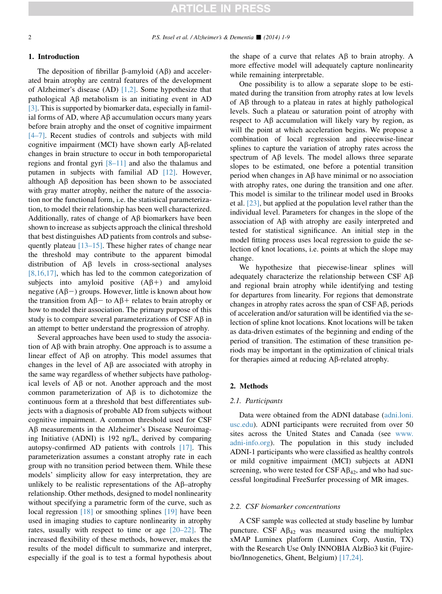#### 1. Introduction

The deposition of fibrillar  $\beta$ -amyloid  $(AB)$  and accelerated brain atrophy are central features of the development of Alzheimer's disease (AD) [\[1,2\]](#page-7-0). Some hypothesize that pathological  $\overrightarrow{AB}$  metabolism is an initiating event in  $\overrightarrow{AD}$ [\[3\].](#page-7-0) This is supported by biomarker data, especially in familial forms of AD, where  $A\beta$  accumulation occurs many years before brain atrophy and the onset of cognitive impairment [\[4–7\].](#page-7-0) Recent studies of controls and subjects with mild cognitive impairment (MCI) have shown early A $\beta$ -related changes in brain structure to occur in both temporoparietal regions and frontal gyri [\[8–11\]](#page-7-0) and also the thalamus and putamen in subjects with familial AD [\[12\]](#page-7-0). However, although  $\overrightarrow{AB}$  deposition has been shown to be associated with gray matter atrophy, neither the nature of the association nor the functional form, i.e. the statistical parameterization, to model their relationship has been well characterized. Additionally, rates of change of  $A\beta$  biomarkers have been shown to increase as subjects approach the clinical threshold that best distinguishes AD patients from controls and subsequently plateau [\[13–15\].](#page-7-0) These higher rates of change near the threshold may contribute to the apparent bimodal distribution of  $\overrightarrow{AB}$  levels in cross-sectional analyses [\[8,16,17\],](#page-7-0) which has led to the common categorization of subjects into amyloid positive  $(A\beta+)$  and amyloid negative  $(A\beta-)$  groups. However, little is known about how the transition from  $A\beta$  to  $A\beta$  relates to brain atrophy or how to model their association. The primary purpose of this study is to compare several parameterizations of  $CSF A\beta$  in an attempt to better understand the progression of atrophy.

Several approaches have been used to study the association of  $A\beta$  with brain atrophy. One approach is to assume a linear effect of  $\overrightarrow{AB}$  on atrophy. This model assumes that changes in the level of  $\mathbf{A}\beta$  are associated with atrophy in the same way regardless of whether subjects have pathological levels of  $\overrightarrow{AB}$  or not. Another approach and the most common parameterization of  $\overrightarrow{AB}$  is to dichotomize the continuous form at a threshold that best differentiates subjects with a diagnosis of probable AD from subjects without cognitive impairment. A common threshold used for CSF  $A\beta$  measurements in the Alzheimer's Disease Neuroimaging Initiative (ADNI) is 192 ng/L, derived by comparing autopsy-confirmed AD patients with controls [\[17\]](#page-7-0). This parameterization assumes a constant atrophy rate in each group with no transition period between them. While these models' simplicity allow for easy interpretation, they are unlikely to be realistic representations of the  $\mathbf{A}\beta$ –atrophy relationship. Other methods, designed to model nonlinearity without specifying a parametric form of the curve, such as local regression [\[18\]](#page-7-0) or smoothing splines [\[19\]](#page-7-0) have been used in imaging studies to capture nonlinearity in atrophy rates, usually with respect to time or age [\[20–22\].](#page-7-0) The increased flexibility of these methods, however, makes the results of the model difficult to summarize and interpret, especially if the goal is to test a formal hypothesis about the shape of a curve that relates  $A\beta$  to brain atrophy. A more effective model will adequately capture nonlinearity while remaining interpretable.

One possibility is to allow a separate slope to be estimated during the transition from atrophy rates at low levels of  $\overrightarrow{AB}$  through to a plateau in rates at highly pathological levels. Such a plateau or saturation point of atrophy with respect to  $\overrightarrow{AB}$  accumulation will likely vary by region, as will the point at which acceleration begins. We propose a combination of local regression and piecewise-linear splines to capture the variation of atrophy rates across the spectrum of  $\mathbf{A}\beta$  levels. The model allows three separate slopes to be estimated, one before a potential transition period when changes in  $\mathbf{A}\beta$  have minimal or no association with atrophy rates, one during the transition and one after. This model is similar to the trilinear model used in Brooks et al. [\[23\]](#page-7-0), but applied at the population level rather than the individual level. Parameters for changes in the slope of the association of  $\Lambda\beta$  with atrophy are easily interpreted and tested for statistical significance. An initial step in the model fitting process uses local regression to guide the selection of knot locations, i.e. points at which the slope may change.

We hypothesize that piecewise-linear splines will adequately characterize the relationship between CSF  $\text{AB}$ and regional brain atrophy while identifying and testing for departures from linearity. For regions that demonstrate changes in atrophy rates across the span of  $CSF \, AB$ , periods of acceleration and/or saturation will be identified via the selection of spline knot locations. Knot locations will be taken as data-driven estimates of the beginning and ending of the period of transition. The estimation of these transition periods may be important in the optimization of clinical trials for therapies aimed at reducing  $A\beta$ -related atrophy.

#### 2. Methods

#### 2.1. Participants

Data were obtained from the ADNI database [\(adni.loni.](http://adni.loni.usc.edu) [usc.edu](http://adni.loni.usc.edu)). ADNI participants were recruited from over 50 sites across the United States and Canada (see [www.](http://www.adni-info.org) [adni-info.org](http://www.adni-info.org)). The population in this study included ADNI-1 participants who were classified as healthy controls or mild cognitive impairment (MCI) subjects at ADNI screening, who were tested for CSF  $\mathbf{A}\mathbf{\beta}_{42}$ , and who had successful longitudinal FreeSurfer processing of MR images.

#### 2.2. CSF biomarker concentrations

A CSF sample was collected at study baseline by lumbar puncture. CSF  $\mathbf{A}\beta_{42}$  was measured using the multiplex xMAP Luminex platform (Luminex Corp, Austin, TX) with the Research Use Only INNOBIA AlzBio3 kit (Fujirebio/Innogenetics, Ghent, Belgium) [\[17,24\]](#page-7-0).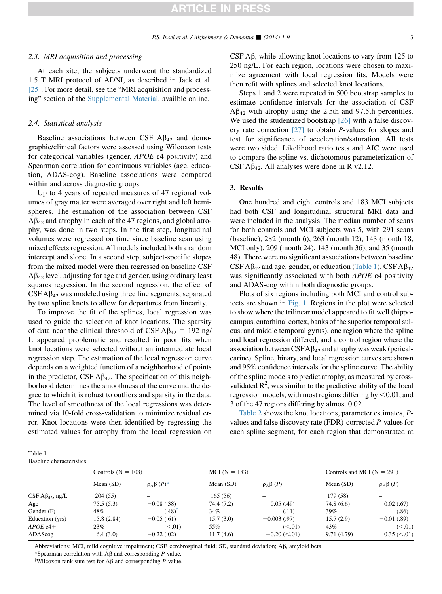#### 2.3. MRI acquisition and processing

At each site, the subjects underwent the standardized 1.5 T MRI protocol of ADNI, as described in Jack et al. [\[25\].](#page-7-0) For more detail, see the "MRI acquisition and processing" section of the Supplemental Material, availble online.

#### 2.4. Statistical analysis

Baseline associations between CSF  $\mathbf{A}\beta_{42}$  and demographic/clinical factors were assessed using Wilcoxon tests for categorical variables (gender, APOE ε4 positivity) and Spearman correlation for continuous variables (age, education, ADAS-cog). Baseline associations were compared within and across diagnostic groups.

Up to 4 years of repeated measures of 47 regional volumes of gray matter were averaged over right and left hemispheres. The estimation of the association between CSF  $A\beta_{42}$  and atrophy in each of the 47 regions, and global atrophy, was done in two steps. In the first step, longitudinal volumes were regressed on time since baseline scan using mixed effects regression. All models included both a random intercept and slope. In a second step, subject-specific slopes from the mixed model were then regressed on baseline CSF  $A\beta_{42}$  level, adjusting for age and gender, using ordinary least squares regression. In the second regression, the effect of  $CSF A\beta_{42}$  was modeled using three line segments, separated by two spline knots to allow for departures from linearity.

To improve the fit of the splines, local regression was used to guide the selection of knot locations. The sparsity of data near the clinical threshold of CSF  $A\beta_{42} = 192$  ng/ L appeared problematic and resulted in poor fits when knot locations were selected without an intermediate local regression step. The estimation of the local regression curve depends on a weighted function of a neighborhood of points in the predictor, CSF  $\mathbf{A}\beta_{42}$ . The specification of this neighborhood determines the smoothness of the curve and the degree to which it is robust to outliers and sparsity in the data. The level of smoothness of the local regressions was determined via 10-fold cross-validation to minimize residual error. Knot locations were then identified by regressing the estimated values for atrophy from the local regression on CSF  $\overline{AB}$ , while allowing knot locations to vary from 125 to 250 ng/L. For each region, locations were chosen to maximize agreement with local regression fits. Models were then refit with splines and selected knot locations.

Steps 1 and 2 were repeated in 500 bootstrap samples to estimate confidence intervals for the association of CSF  $A\beta_{42}$  with atrophy using the 2.5th and 97.5th percentiles. We used the studentized bootstrap [\[26\]](#page-7-0) with a false discovery rate correction  $[27]$  to obtain *P*-values for slopes and test for significance of acceleration/saturation. All tests were two sided. Likelihood ratio tests and AIC were used to compare the spline vs. dichotomous parameterization of CSF A $\beta_{42}$ . All analyses were done in R v2.12.

#### 3. Results

One hundred and eight controls and 183 MCI subjects had both CSF and longitudinal structural MRI data and were included in the analysis. The median number of scans for both controls and MCI subjects was 5, with 291 scans (baseline), 282 (month 6), 263 (month 12), 143 (month 18, MCI only), 209 (month 24), 143 (month 36), and 35 (month 48). There were no significant associations between baseline CSF A $\beta_{42}$  and age, gender, or education (Table 1). CSF A $\beta_{42}$ was significantly associated with both APOE ε4 positivity and ADAS-cog within both diagnostic groups.

Plots of six regions including both MCI and control subjects are shown in [Fig. 1](#page-3-0). Regions in the plot were selected to show where the trilinear model appeared to fit well (hippocampus, entorhinal cortex, banks of the superior temporal sulcus, and middle temporal gyrus), one region where the spline and local regression differed, and a control region where the association between  $CSFA\beta_{42}$  and atrophy was weak (pericalcarine). Spline, binary, and local regression curves are shown and 95% confidence intervals for the spline curve. The ability of the spline models to predict atrophy, as measured by crossvalidated  $R^2$ , was similar to the predictive ability of the local regression models, with most regions differing by  $\leq 0.01$ , and 3 of the 47 regions differing by almost 0.02.

[Table 2](#page-4-0) shows the knot locations, parameter estimates, Pvalues and false discovery rate (FDR)-corrected P-values for each spline segment, for each region that demonstrated at

| Table 1                  |  |
|--------------------------|--|
| Baseline characteristics |  |

|                          | Controls ( $N = 108$ ) |                                | $MCI(N = 183)$ |                   | Controls and MCI ( $N = 291$ ) |                    |
|--------------------------|------------------------|--------------------------------|----------------|-------------------|--------------------------------|--------------------|
|                          | Mean $(SD)$            | $\rho_A \beta(P)^*$            | Mean $(SD)$    | $\rho_A \beta(P)$ | Mean $(SD)$                    | $\rho_A \beta(P)$  |
| $CSF A\beta_{42}$ , ng/L | 204(55)                |                                | 165(56)        |                   | 179 (58)                       |                    |
| Age                      | 75.5(5.3)              | $-0.08$ (.38)                  | 74.4 (7.2)     | 0.05(0.49)        | 74.8 (6.6)                     | 0.02(0.67)         |
| Gender $(F)$             | 48%                    | $-(.48)$                       | 34%            | $-$ (.11)         | 39%                            | $- (.86)$          |
| Education (yrs)          | 15.8(2.84)             | $-0.05(0.61)$                  | 15.7(3.0)      | $-0.003(0.97)$    | 15.7(2.9)                      | $-0.01(0.89)$      |
| $APOEe4+$                | 23%                    | $-$ ( $\leq$ .01) <sup>†</sup> | 55%            | $-$ ( $\leq$ .01) | 43%                            | $-$ ( $\leq$ .01)  |
| ADAScog                  | 6.4(3.0)               | $-0.22$ (.02)                  | 11.7(4.6)      | $-0.20$ (<.01)    | 9.71(4.79)                     | $0.35 \, (< 0.01)$ |

Abbreviations: MCI, mild cognitive impairment; CSF, cerebrospinal fluid; SD, standard deviation; A $\beta$ , amyloid beta.

\*Spearman correlation with  $A\beta$  and corresponding *P*-value. <sup>†</sup>Wilcoxon rank sum test for  $\mathbf{A}\beta$  and corresponding *P*-value.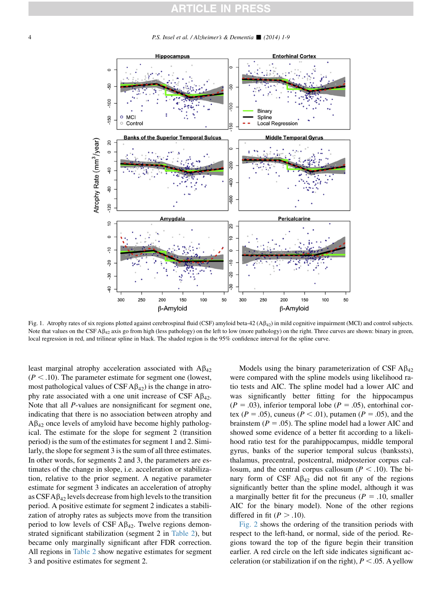<span id="page-3-0"></span>4 P.S. Insel et al. / Alzheimer's & Dementia ■ (2014) 1-9



Fig. 1. Atrophy rates of six regions plotted against cerebrospinal fluid (CSF) amyloid beta-42 (A $\beta_{42}$ ) in mild cognitive impairment (MCI) and control subjects. Note that values on the CSF A $\beta_{42}$  axis go from high (less pathology) on the left to low (more pathology) on the right. Three curves are shown: binary in green, local regression in red, and trilinear spline in black. The shaded region is the 95% confidence interval for the spline curve.

least marginal atrophy acceleration associated with  $A\beta_{42}$  $(P < .10)$ . The parameter estimate for segment one (lowest, most pathological values of  $CSF A\beta_{42}$ ) is the change in atrophy rate associated with a one unit increase of CSF  $\text{A}\beta_{42}$ . Note that all P-values are nonsignificant for segment one, indicating that there is no association between atrophy and  $A\beta_{42}$  once levels of amyloid have become highly pathological. The estimate for the slope for segment 2 (transition period) is the sum of the estimates for segment 1 and 2. Similarly, the slope for segment 3 is the sum of all three estimates. In other words, for segments 2 and 3, the parameters are estimates of the change in slope, i.e. acceleration or stabilization, relative to the prior segment. A negative parameter estimate for segment 3 indicates an acceleration of atrophy as  $C<sub>24</sub>$  levels decrease from high levels to the transition period. A positive estimate for segment 2 indicates a stabilization of atrophy rates as subjects move from the transition period to low levels of CSF  $\mathbf{A}\beta_{42}$ . Twelve regions demonstrated significant stabilization (segment 2 in [Table 2](#page-4-0)), but became only marginally significant after FDR correction. All regions in [Table 2](#page-4-0) show negative estimates for segment 3 and positive estimates for segment 2.

Models using the binary parameterization of CSF  $\text{AB}_{42}$ were compared with the spline models using likelihood ratio tests and AIC. The spline model had a lower AIC and was significantly better fitting for the hippocampus  $(P = .03)$ , inferior temporal lobe  $(P = .05)$ , entorhinal cortex ( $P = .05$ ), cuneus ( $P < .01$ ), putamen ( $P = .05$ ), and the brainstem ( $P = .05$ ). The spline model had a lower AIC and showed some evidence of a better fit according to a likelihood ratio test for the parahippocampus, middle temporal gyrus, banks of the superior temporal sulcus (bankssts), thalamus, precentral, postcentral, midposterior corpus callosum, and the central corpus callosum ( $P < .10$ ). The binary form of CSF  $\mathbf{A}\beta_{42}$  did not fit any of the regions significantly better than the spline model, although it was a marginally better fit for the precuneus ( $P = .10$ , smaller AIC for the binary model). None of the other regions differed in fit ( $P > .10$ ).

[Fig. 2](#page-5-0) shows the ordering of the transition periods with respect to the left-hand, or normal, side of the period. Regions toward the top of the figure begin their transition earlier. A red circle on the left side indicates significant acceleration (or stabilization if on the right),  $P < .05$ . A yellow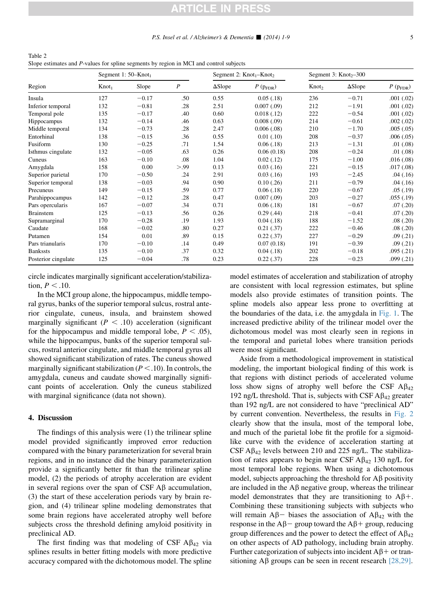<span id="page-4-0"></span>Table 2 Slope estimates and P-values for spline segments by region in MCI and control subjects

| Region              | Segment 1: $50 -$ Knot <sub>1</sub> |         |                  | Segment 2: $Knot_1-Knot_2$ |                                   | Segment 3: $Knot_{2} - 300$ |                |                     |
|---------------------|-------------------------------------|---------|------------------|----------------------------|-----------------------------------|-----------------------------|----------------|---------------------|
|                     | $Knot_1$                            | Slope   | $\boldsymbol{P}$ | $\Delta$ Slope             | $P\left( p_{\mathrm{FDR}}\right)$ | Knot <sub>2</sub>           | $\Delta$ Slope | $P(p_{\text{FDR}})$ |
| Insula              | 127                                 | $-0.17$ | .50              | 0.55                       | 0.05(0.18)                        | 236                         | $-0.71$        | .001(.02)           |
| Inferior temporal   | 132                                 | $-0.81$ | .28              | 2.51                       | 0.007(0.09)                       | 212                         | $-1.91$        | .001(.02)           |
| Temporal pole       | 135                                 | $-0.17$ | .40              | 0.60                       | 0.018(0.12)                       | 222                         | $-0.54$        | .001(.02)           |
| <b>Hippocampus</b>  | 132                                 | $-0.14$ | .46              | 0.63                       | 0.008(.09)                        | 214                         | $-0.61$        | .002(.02)           |
| Middle temporal     | 134                                 | $-0.73$ | .28              | 2.47                       | 0.006(.08)                        | 210                         | $-1.70$        | .005(.05)           |
| Entorhinal          | 138                                 | $-0.15$ | .36              | 0.55                       | 0.01(0.10)                        | 208                         | $-0.37$        | .006(.05)           |
| Fusiform            | 130                                 | $-0.25$ | .71              | 1.54                       | 0.06(0.18)                        | 213                         | $-1.31$        | .01(.08)            |
| Isthmus cingulate   | 132                                 | $-0.05$ | .63              | 0.26                       | 0.06(0.18)                        | 208                         | $-0.24$        | .01(.08)            |
| Cuneus              | 163                                 | $-0.10$ | .08              | 1.04                       | 0.02(0.12)                        | 175                         | $-1.00$        | .016(.08)           |
| Amygdala            | 158                                 | 0.00    | > 0.99           | 0.13                       | 0.03(0.16)                        | 221                         | $-0.15$        | .017(.08)           |
| Superior parietal   | 170                                 | $-0.50$ | .24              | 2.91                       | 0.03(0.16)                        | 193                         | $-2.45$        | .04(.16)            |
| Superior temporal   | 138                                 | $-0.03$ | .94              | 0.90                       | 0.10(.26)                         | 211                         | $-0.79$        | .04(.16)            |
| Precuneus           | 149                                 | $-0.15$ | .59              | 0.77                       | 0.06(0.18)                        | 220                         | $-0.67$        | .05(.19)            |
| Parahippocampus     | 142                                 | $-0.12$ | .28              | 0.47                       | 0.007(0.09)                       | 203                         | $-0.27$        | .055(.19)           |
| Pars opercularis    | 167                                 | $-0.07$ | .34              | 0.71                       | 0.06(0.18)                        | 181                         | $-0.67$        | .07(0.20)           |
| <b>Brainstem</b>    | 125                                 | $-0.13$ | .56              | 0.26                       | 0.29(0.44)                        | 218                         | $-0.41$        | .07(0.20)           |
| Supramarginal       | 170                                 | $-0.28$ | .19              | 1.93                       | 0.04(0.18)                        | 188                         | $-1.52$        | .08(.20)            |
| Caudate             | 168                                 | $-0.02$ | .80              | 0.27                       | 0.21(.37)                         | 222                         | $-0.46$        | .08(.20)            |
| Putamen             | 154                                 | 0.01    | .89              | 0.15                       | 0.22(0.37)                        | 227                         | $-0.29$        | .09(0.21)           |
| Pars trianularis    | 170                                 | $-0.10$ | .14              | 0.49                       | 0.07(0.18)                        | 191                         | $-0.39$        | .09(0.21)           |
| <b>Bankssts</b>     | 135                                 | $-0.10$ | .37              | 0.32                       | 0.04(0.18)                        | 202                         | $-0.18$        | .095(.21)           |
| Posterior cingulate | 125                                 | $-0.04$ | .78              | 0.23                       | 0.22(0.37)                        | 228                         | $-0.23$        | .099(.21)           |

circle indicates marginally significant acceleration/stabilization,  $P < .10$ .

In the MCI group alone, the hippocampus, middle temporal gyrus, banks of the superior temporal sulcus, rostral anterior cingulate, cuneus, insula, and brainstem showed marginally significant  $(P < .10)$  acceleration (significant for the hippocampus and middle temporal lobe,  $P < .05$ ), while the hippocampus, banks of the superior temporal sulcus, rostral anterior cingulate, and middle temporal gyrus all showed significant stabilization of rates. The cuneus showed marginally significant stabilization ( $P < .10$ ). In controls, the amygdala, cuneus and caudate showed marginally significant points of acceleration. Only the cuneus stabilized with marginal significance (data not shown).

#### 4. Discussion

The findings of this analysis were (1) the trilinear spline model provided significantly improved error reduction compared with the binary parameterization for several brain regions, and in no instance did the binary parameterization provide a significantly better fit than the trilinear spline model, (2) the periods of atrophy acceleration are evident in several regions over the span of CSF  $\mathbf{A}\mathbf{\beta}$  accumulation, (3) the start of these acceleration periods vary by brain region, and (4) trilinear spline modeling demonstrates that some brain regions have accelerated atrophy well before subjects cross the threshold defining amyloid positivity in preclinical AD.

The first finding was that modeling of CSF  $\mathbf{A}\beta_{42}$  via splines results in better fitting models with more predictive accuracy compared with the dichotomous model. The spline model estimates of acceleration and stabilization of atrophy are consistent with local regression estimates, but spline models also provide estimates of transition points. The spline models also appear less prone to overfitting at the boundaries of the data, i.e. the amygdala in [Fig. 1.](#page-3-0) The increased predictive ability of the trilinear model over the dichotomous model was most clearly seen in regions in the temporal and parietal lobes where transition periods were most significant.

Aside from a methodological improvement in statistical modeling, the important biological finding of this work is that regions with distinct periods of accelerated volume loss show signs of atrophy well before the CSF  $\mathbf{A}\beta_{42}$ 192 ng/L threshold. That is, subjects with CSF  $\mathbf{A}\beta_{42}$  greater than 192 ng/L are not considered to have "preclinical AD" by current convention. Nevertheless, the results in [Fig. 2](#page-5-0) clearly show that the insula, most of the temporal lobe, and much of the parietal lobe fit the profile for a sigmoidlike curve with the evidence of acceleration starting at CSF  $\mathbf{A}\beta_{42}$  levels between 210 and 225 ng/L. The stabilization of rates appears to begin near CSF  $\text{A}\beta_{42}$  130 ng/L for most temporal lobe regions. When using a dichotomous model, subjects approaching the threshold for  $\overrightarrow{AB}$  positivity are included in the  $\mathbf{A}\beta$  negative group, whereas the trilinear model demonstrates that they are transitioning to  $A\beta$ +. Combining these transitioning subjects with subjects who will remain  $A\beta$  biases the association of  $A\beta_{42}$  with the response in the  $A\beta$  group toward the  $A\beta$  group, reducing group differences and the power to detect the effect of  $\mathbf{A}\beta_{42}$ on other aspects of AD pathology, including brain atrophy. Further categorization of subjects into incident  $A\beta$ + or transitioning  $\text{A}\beta$  groups can be seen in recent research [\[28,29\].](#page-8-0)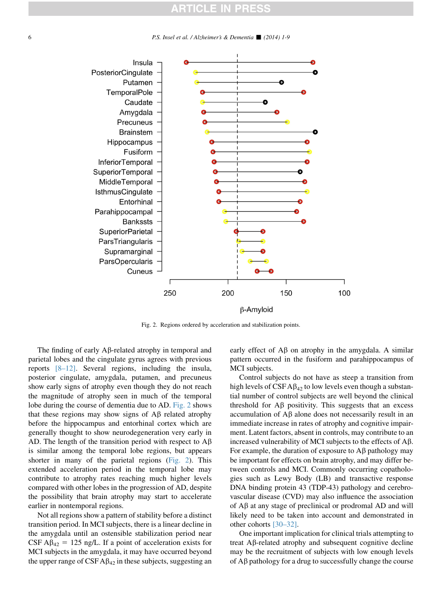<span id="page-5-0"></span>6 **b** P.S. Insel et al. / Alzheimer's  $\&$  Dementia  $\parallel$  (2014) 1-9



Fig. 2. Regions ordered by acceleration and stabilization points.

The finding of early  $A\beta$ -related atrophy in temporal and parietal lobes and the cingulate gyrus agrees with previous reports [\[8–12\].](#page-7-0) Several regions, including the insula, posterior cingulate, amygdala, putamen, and precuneus show early signs of atrophy even though they do not reach the magnitude of atrophy seen in much of the temporal lobe during the course of dementia due to AD. Fig. 2 shows that these regions may show signs of  $\overrightarrow{AB}$  related atrophy before the hippocampus and entorhinal cortex which are generally thought to show neurodegeneration very early in AD. The length of the transition period with respect to  $A\beta$ is similar among the temporal lobe regions, but appears shorter in many of the parietal regions (Fig. 2). This extended acceleration period in the temporal lobe may contribute to atrophy rates reaching much higher levels compared with other lobes in the progression of AD, despite the possibility that brain atrophy may start to accelerate earlier in nontemporal regions.

Not all regions show a pattern of stability before a distinct transition period. In MCI subjects, there is a linear decline in the amygdala until an ostensible stabilization period near CSF A $\beta_{42}$  = 125 ng/L. If a point of acceleration exists for MCI subjects in the amygdala, it may have occurred beyond the upper range of  $CSF A\beta_{42}$  in these subjects, suggesting an early effect of  $\overrightarrow{AB}$  on atrophy in the amygdala. A similar pattern occurred in the fusiform and parahippocampus of MCI subjects.

Control subjects do not have as steep a transition from high levels of  $CSF A\beta_{42}$  to low levels even though a substantial number of control subjects are well beyond the clinical threshold for  $\mathbf{A}\boldsymbol{\beta}$  positivity. This suggests that an excess accumulation of  $A\beta$  alone does not necessarily result in an immediate increase in rates of atrophy and cognitive impairment. Latent factors, absent in controls, may contribute to an increased vulnerability of MCI subjects to the effects of Ab. For example, the duration of exposure to  $\overrightarrow{AB}$  pathology may be important for effects on brain atrophy, and may differ between controls and MCI. Commonly occurring copathologies such as Lewy Body (LB) and transactive response DNA binding protein 43 (TDP-43) pathology and cerebrovascular disease (CVD) may also influence the association of  $A\beta$  at any stage of preclinical or prodromal  $AD$  and will likely need to be taken into account and demonstrated in other cohorts [\[30–32\]](#page-8-0).

One important implication for clinical trials attempting to treat Ab-related atrophy and subsequent cognitive decline may be the recruitment of subjects with low enough levels of  $\overrightarrow{AB}$  pathology for a drug to successfully change the course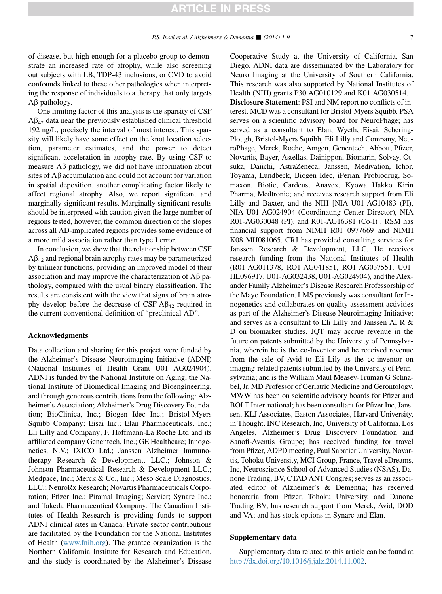of disease, but high enough for a placebo group to demonstrate an increased rate of atrophy, while also screening out subjects with LB, TDP-43 inclusions, or CVD to avoid confounds linked to these other pathologies when interpreting the response of individuals to a therapy that only targets  $A\beta$  pathology.

One limiting factor of this analysis is the sparsity of CSF  $A\beta_{42}$  data near the previously established clinical threshold 192 ng/L, precisely the interval of most interest. This sparsity will likely have some effect on the knot location selection, parameter estimates, and the power to detect significant acceleration in atrophy rate. By using CSF to measure  $\overrightarrow{AB}$  pathology, we did not have information about sites of  $A\beta$  accumulation and could not account for variation in spatial deposition, another complicating factor likely to affect regional atrophy. Also, we report significant and marginally significant results. Marginally significant results should be interpreted with caution given the large number of regions tested, however, the common direction of the slopes across all AD-implicated regions provides some evidence of a more mild association rather than type I error.

In conclusion, we show that the relationship between CSF  $A\beta_{42}$  and regional brain atrophy rates may be parameterized by trilinear functions, providing an improved model of their association and may improve the characterization of  $\overrightarrow{AB}$  pathology, compared with the usual binary classification. The results are consistent with the view that signs of brain atrophy develop before the decrease of CSF  $\mathbf{A}\beta_{42}$  required in the current conventional definition of "preclinical AD".

#### Acknowledgments

Data collection and sharing for this project were funded by the Alzheimer's Disease Neuroimaging Initiative (ADNI) (National Institutes of Health Grant U01 AG024904). ADNI is funded by the National Institute on Aging, the National Institute of Biomedical Imaging and Bioengineering, and through generous contributions from the following: Alzheimer's Association; Alzheimer's Drug Discovery Foundation; BioClinica, Inc.; Biogen Idec Inc.; Bristol-Myers Squibb Company; Eisai Inc.; Elan Pharmaceuticals, Inc.; Eli Lilly and Company; F. Hoffmann-La Roche Ltd and its affiliated company Genentech, Inc.; GE Healthcare; Innogenetics, N.V.; IXICO Ltd.; Janssen Alzheimer Immunotherapy Research & Development, LLC.; Johnson & Johnson Pharmaceutical Research & Development LLC.; Medpace, Inc.; Merck & Co., Inc.; Meso Scale Diagnostics, LLC.; NeuroRx Research; Novartis Pharmaceuticals Corporation; Pfizer Inc.; Piramal Imaging; Servier; Synarc Inc.; and Takeda Pharmaceutical Company. The Canadian Institutes of Health Research is providing funds to support ADNI clinical sites in Canada. Private sector contributions are facilitated by the Foundation for the National Institutes of Health ([www.fnih.org\)](http://www.fnih.org). The grantee organization is the Northern California Institute for Research and Education, and the study is coordinated by the Alzheimer's Disease Cooperative Study at the University of California, San Diego. ADNI data are disseminated by the Laboratory for Neuro Imaging at the University of Southern California. This research was also supported by National Institutes of Health (NIH) grants P30 AG010129 and K01 AG030514.

Disclosure Statement: PSI and NM report no conflicts of interest. MCD was a consultant for Bristol-Myers Squibb. PSA serves on a scientific advisory board for NeuroPhage; has served as a consultant to Elan, Wyeth, Eisai, Schering-Plough, Bristol-Myers Squibb, Eli Lilly and Company, NeuroPhage, Merck, Roche, Amgen, Genentech, Abbott, Pfizer, Novartis, Bayer, Astellas, Dainippon, Biomarin, Solvay, Otsuka, Daiichi, AstraZeneca, Janssen, Medivation, Ichor, Toyama, Lundbeck, Biogen Idec, iPerian, Probiodrug, Somaxon, Biotie, Cardeus, Anavex, Kyowa Hakko Kirin Pharma, Medtronic; and receives research support from Eli Lilly and Baxter, and the NIH [NIA U01-AG10483 (PI), NIA U01-AG024904 (Coordinating Center Director), NIA R01-AG030048 (PI), and R01-AG16381 (Co-I)]. RSM has financial support from NIMH R01 0977669 and NIMH K08 MH081065. CRJ has provided consulting services for Janssen Research & Development, LLC. He receives research funding from the National Institutes of Health (R01-AG011378, RO1-AG041851, RO1-AG037551, U01- HL096917, U01-AG032438, U01-AG024904), and the Alexander Family Alzheimer's Disease Research Professorship of the Mayo Foundation. LMS previously was consultant for Innogenetics and collaborates on quality assessment activities as part of the Alzheimer's Disease Neuroimaging Initiative; and serves as a consultant to Eli Lilly and Janssen AI R & D on biomarker studies. JQT may accrue revenue in the future on patents submitted by the University of Pennsylvania, wherein he is the co-Inventor and he received revenue from the sale of Avid to Eli Lily as the co-inventor on imaging-related patents submitted by the University of Pennsylvania; and is the William Maul Measey-Truman G Schnabel, Jr, MD Professor of Geriatric Medicine and Gerontology. MWW has been on scientific advisory boards for Pfizer and BOLT Inter-national; has been consultant for Pfizer Inc, Janssen, KLJ Associates, Easton Associates, Harvard University, in Thought, INC Research, Inc, University of California, Los Angeles, Alzheimer's Drug Discovery Foundation and Sanofi-Aventis Groupe; has received funding for travel from Pfizer, ADPD meeting, Paul Sabatier University, Novartis, Tohoku University, MCI Group, France, Travel eDreams, Inc, Neuroscience School of Advanced Studies (NSAS), Danone Trading, BV, CTAD ANT Congres; serves as an associated editor of Alzheimer's & Dementia; has received honoraria from Pfizer, Tohoku University, and Danone Trading BV; has research support from Merck, Avid, DOD and VA; and has stock options in Synarc and Elan.

#### Supplementary data

Supplementary data related to this article can be found at <http://dx.doi.org/10.1016/j.jalz.2014.11.002>.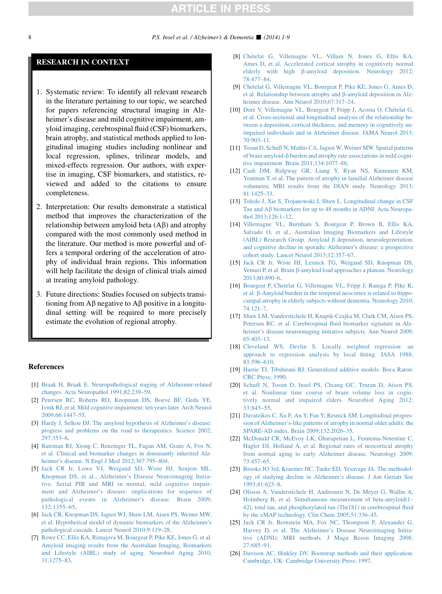#### <span id="page-7-0"></span>RESEARCH IN CONTEXT

- 1. Systematic review: To identify all relevant research in the literature pertaining to our topic, we searched for papers referencing structural imaging in Alzheimer's disease and mild cognitive impairment, amyloid imaging, cerebrospinal fluid (CSF) biomarkers, brain atrophy, and statistical methods applied to longitudinal imaging studies including nonlinear and local regression, splines, trilinear models, and mixed-effects regression. Our authors, with expertise in imaging, CSF biomarkers, and statistics, reviewed and added to the citations to ensure completeness.
- 2. Interpretation: Our results demonstrate a statistical method that improves the characterization of the relationship between amyloid beta  $(A\beta)$  and atrophy compared with the most commonly used method in the literature. Our method is more powerful and offers a temporal ordering of the acceleration of atrophy of individual brain regions. This information will help facilitate the design of clinical trials aimed at treating amyloid pathology.
- 3. Future directions: Studies focused on subjects transitioning from  $\overrightarrow{AB}$  negative to  $\overrightarrow{AB}$  positive in a longitudinal setting will be required to more precisely estimate the evolution of regional atrophy.

#### References

- [1] [Braak H, Braak E. Neuropathological staging of Alzheimer-related](http://refhub.elsevier.com/S1552-5260(14)02869-6/sref1) [changes. Acta Neuropathol 1991;82:239–59.](http://refhub.elsevier.com/S1552-5260(14)02869-6/sref1)
- [2] [Petersen RC, Roberts RO, Knopman DS, Boeve BF, Geda YE,](http://refhub.elsevier.com/S1552-5260(14)02869-6/sref2) [Ivnik RJ, et al. Mild cognitive impairment: ten years later. Arch Neurol](http://refhub.elsevier.com/S1552-5260(14)02869-6/sref2) [2009;66:1447–55](http://refhub.elsevier.com/S1552-5260(14)02869-6/sref2).
- [3] [Hardy J, Selkoe DJ. The amyloid hypothesis of Alzheimer's disease:](http://refhub.elsevier.com/S1552-5260(14)02869-6/sref3) [progress and problems on the road to therapeutics. Science 2002;](http://refhub.elsevier.com/S1552-5260(14)02869-6/sref3) [297:353–6](http://refhub.elsevier.com/S1552-5260(14)02869-6/sref3).
- [4] [Bateman RJ, Xiong C, Benzinger TL, Fagan AM, Goate A, Fox N,](http://refhub.elsevier.com/S1552-5260(14)02869-6/sref4) [et al. Clinical and biomarker changes in dominantly inherited Alz](http://refhub.elsevier.com/S1552-5260(14)02869-6/sref4)[heimer's disease. N Engl J Med 2012;367:795–804.](http://refhub.elsevier.com/S1552-5260(14)02869-6/sref4)
- [5] [Jack CR Jr, Lowe VJ, Weigand SD, Wiste HJ, Senjem ML,](http://refhub.elsevier.com/S1552-5260(14)02869-6/sref5) [Knopman DS, et al., Alzheimer's Disease Neuroimaging Initia](http://refhub.elsevier.com/S1552-5260(14)02869-6/sref5)[tive. Serial PIB and MRI in normal, mild cognitive impair](http://refhub.elsevier.com/S1552-5260(14)02869-6/sref5)[ment and Alzheimer's disease:](http://refhub.elsevier.com/S1552-5260(14)02869-6/sref5) implications for sequence of [pathological events in Alzheimer's disease. Brain 2009;](http://refhub.elsevier.com/S1552-5260(14)02869-6/sref5) [132:1355–65.](http://refhub.elsevier.com/S1552-5260(14)02869-6/sref5)
- [6] [Jack CR, Knopman DS, Jagust WJ, Shaw LM, Aisen PS, Weiner MW,](http://refhub.elsevier.com/S1552-5260(14)02869-6/sref6) [et al. Hypothetical model of dynamic biomarkers of the Alzheimer's](http://refhub.elsevier.com/S1552-5260(14)02869-6/sref6) [pathological cascade. Lancet Neurol 2010;9:119–28](http://refhub.elsevier.com/S1552-5260(14)02869-6/sref6).
- [7] [Rowe CC, Ellis KA, Rimajova M, Bourgeat P, Pike KE, Jones G, et al.](http://refhub.elsevier.com/S1552-5260(14)02869-6/sref7) [Amyloid imaging results from the Australian Imaging, Biomarkers](http://refhub.elsevier.com/S1552-5260(14)02869-6/sref7) [and Lifestyle \(AIBL\) study of aging. Neurobiol Aging 2010;](http://refhub.elsevier.com/S1552-5260(14)02869-6/sref7)  $31:1275-83$
- [8] [Ch](http://refhub.elsevier.com/S1552-5260(14)02869-6/sref8)ételat G, Villemagne VL, Villain N, Jones G, Ellis KA, [Ames D, et al. Accelerated cortical atrophy in cognitively normal](http://refhub.elsevier.com/S1552-5260(14)02869-6/sref8) elderly with high  $\beta$ [-amyloid deposition. Neurology 2012;](http://refhub.elsevier.com/S1552-5260(14)02869-6/sref8) [78:477–84.](http://refhub.elsevier.com/S1552-5260(14)02869-6/sref8)
- [9] [Ch](http://refhub.elsevier.com/S1552-5260(14)02869-6/sref9)ételat G, Villemagne VL, Bourgeat P, Pike KE, Jones G, Ames D, [et al. Relationship between atrophy and](http://refhub.elsevier.com/S1552-5260(14)02869-6/sref9)  $\beta$ -amyloid deposition in Alz[heimer disease. Ann Neurol 2010;67:317–24](http://refhub.elsevier.com/S1552-5260(14)02869-6/sref9).
- [10] [Dor](http://refhub.elsevier.com/S1552-5260(14)02869-6/sref10)é V, Villemagne VL, Bourgeat P, Fripp J, Acosta O, Ché[telat G,](http://refhub.elsevier.com/S1552-5260(14)02869-6/sref10) [et al. Cross-sectional and longitudinal analysis of the relationship be](http://refhub.elsevier.com/S1552-5260(14)02869-6/sref10)[tween a deposition, cortical thickness, and memory in cognitively un](http://refhub.elsevier.com/S1552-5260(14)02869-6/sref10)[impaired individuals and in Alzheimer disease. JAMA Neurol 2013;](http://refhub.elsevier.com/S1552-5260(14)02869-6/sref10) [70:903–11](http://refhub.elsevier.com/S1552-5260(14)02869-6/sref10).
- [11] [Tosun D, Schuff N, Mathis CA, Jagust W, Weiner MW. Spatial patterns](http://refhub.elsevier.com/S1552-5260(14)02869-6/sref11) of brain amyloid- $\beta$  [burden and atrophy rate associations in mild cogni](http://refhub.elsevier.com/S1552-5260(14)02869-6/sref11)[tive impairment. Brain 2011;134:1077–88](http://refhub.elsevier.com/S1552-5260(14)02869-6/sref11).
- [12] [Cash DM, Ridgway GR, Liang Y, Ryan NS, Kinnunen KM,](http://refhub.elsevier.com/S1552-5260(14)02869-6/sref12) [Yeatman T, et al. The pattern of atrophy in familial Alzheimer disease](http://refhub.elsevier.com/S1552-5260(14)02869-6/sref12) [volumetric MRI results from the DIAN study. Neurology 2013;](http://refhub.elsevier.com/S1552-5260(14)02869-6/sref12) [81:1425–33](http://refhub.elsevier.com/S1552-5260(14)02869-6/sref12).
- [13] [Toledo J, Xie S, Trojanowski J, Shaw L. Longitudinal change in CSF](http://refhub.elsevier.com/S1552-5260(14)02869-6/sref13) Tau and  $\widehat{AB}$  [biomarkers for up to 48 months in ADNI. Acta Neuropa](http://refhub.elsevier.com/S1552-5260(14)02869-6/sref13)[thol 2013;126:1–12](http://refhub.elsevier.com/S1552-5260(14)02869-6/sref13).
- [14] [Villemagne VL, Burnham S, Bourgeat P, Brown B, Ellis KA,](http://refhub.elsevier.com/S1552-5260(14)02869-6/sref14) [Salvado O, et al., Australian Imaging Biomarkers and Lifestyle](http://refhub.elsevier.com/S1552-5260(14)02869-6/sref14) [\(AIBL\) Research Group. Amyloid](http://refhub.elsevier.com/S1552-5260(14)02869-6/sref14)  $\beta$  deposition, neurodegeneration, [and cognitive decline in sporadic Alzheimer's disease: a prospective](http://refhub.elsevier.com/S1552-5260(14)02869-6/sref14) [cohort study. Lancet Neurol 2013;12:357–67](http://refhub.elsevier.com/S1552-5260(14)02869-6/sref14).
- [15] [Jack CR Jr, Wiste HJ, Lesnick TG, Weigand SD, Knopman DS,](http://refhub.elsevier.com/S1552-5260(14)02869-6/sref15) Vemuri P, et al. Brain β[-amyloid load approaches a plateau. Neurology](http://refhub.elsevier.com/S1552-5260(14)02869-6/sref15) [2013;80:890–6](http://refhub.elsevier.com/S1552-5260(14)02869-6/sref15).
- [16] [Bourgeat P, Chetelat G, Villemagne VL, Fripp J, Raniga P, Pike K,](http://refhub.elsevier.com/S1552-5260(14)02869-6/sref16) et al. β[-Amyloid burden in the temporal neocortex is related to hippo](http://refhub.elsevier.com/S1552-5260(14)02869-6/sref16)[campal atrophy in elderly subjects without dementia. Neurology 2010;](http://refhub.elsevier.com/S1552-5260(14)02869-6/sref16) [74:121–7](http://refhub.elsevier.com/S1552-5260(14)02869-6/sref16).
- [17] [Shaw LM, Vanderstichele H, Knapik-Czajka M, Clark CM, Aisen PS,](http://refhub.elsevier.com/S1552-5260(14)02869-6/sref17) [Petersen RC, et al. Cerebrospinal fluid biomarker signature in Alz](http://refhub.elsevier.com/S1552-5260(14)02869-6/sref17)[heimer's disease neuroimaging initiative subjects. Ann Neurol 2009;](http://refhub.elsevier.com/S1552-5260(14)02869-6/sref17) [65:403–13](http://refhub.elsevier.com/S1552-5260(14)02869-6/sref17).
- [18] [Cleveland WS, Devlin S. Locally weighted regression: an](http://refhub.elsevier.com/S1552-5260(14)02869-6/sref18) [approach to regression analysis by local fitting. JASA 1988;](http://refhub.elsevier.com/S1552-5260(14)02869-6/sref18) [83:596–610.](http://refhub.elsevier.com/S1552-5260(14)02869-6/sref18)
- [19] [Hastie TJ, Tibshirani RJ. Generalized additive models. Boca Raton:](http://refhub.elsevier.com/S1552-5260(14)02869-6/sref19) [CRC Press; 1990](http://refhub.elsevier.com/S1552-5260(14)02869-6/sref19).
- [20] [Schuff N, Tosun D, Insel PS, Chiang GC, Truran D, Aisen PS,](http://refhub.elsevier.com/S1552-5260(14)02869-6/sref20) [et al. Nonlinear time course of brain volume loss in cogni](http://refhub.elsevier.com/S1552-5260(14)02869-6/sref20)[tively normal and impaired elders. Neurobiol Aging 2012;](http://refhub.elsevier.com/S1552-5260(14)02869-6/sref20) [33:845–55.](http://refhub.elsevier.com/S1552-5260(14)02869-6/sref20)
- [21] [Davatzikos C, Xu F, An Y, Fan Y, Resnick SM. Longitudinal progres](http://refhub.elsevier.com/S1552-5260(14)02869-6/sref21)[sion of Alzheimer's-like patterns of atrophy in normal older adults: the](http://refhub.elsevier.com/S1552-5260(14)02869-6/sref21) [SPARE-AD index. Brain 2009;132:2026–35](http://refhub.elsevier.com/S1552-5260(14)02869-6/sref21).
- [22] [McDonald CR, McEvoy LK, Gharapetian L, Fennema-Notestine C,](http://refhub.elsevier.com/S1552-5260(14)02869-6/sref22) [Hagler DJ, Holland A, et al. Regional rates of neocortical atrophy](http://refhub.elsevier.com/S1552-5260(14)02869-6/sref22) [from normal aging to early Alzheimer disease. Neurology 2009;](http://refhub.elsevier.com/S1552-5260(14)02869-6/sref22) [73:457–65](http://refhub.elsevier.com/S1552-5260(14)02869-6/sref22).
- [23] [Brooks JO 3rd, Kraemer HC, Tanke ED, Yesavage JA. The methodol](http://refhub.elsevier.com/S1552-5260(14)02869-6/sref23)[ogy of studying decline in Alzheimer's disease. J Am Geriatr Soc](http://refhub.elsevier.com/S1552-5260(14)02869-6/sref23) [1993;41:623–8](http://refhub.elsevier.com/S1552-5260(14)02869-6/sref23).
- [24] [Olsson A, Vanderstichele H, Andreasen N, De Meyer G, Wallin A,](http://refhub.elsevier.com/S1552-5260(14)02869-6/sref25) [Holmberg B, et al. Simultaneous measurement of beta-amyloid\(1–](http://refhub.elsevier.com/S1552-5260(14)02869-6/sref25) [42\), total tau, and phosphorylated tau \(Thr181\) in cerebrospinal fluid](http://refhub.elsevier.com/S1552-5260(14)02869-6/sref25) [by the xMAP technology. Clin Chem 2005;51:336–45](http://refhub.elsevier.com/S1552-5260(14)02869-6/sref25).
- [25] [Jack CR Jr, Bernstein MA, Fox NC, Thompson P, Alexander G,](http://refhub.elsevier.com/S1552-5260(14)02869-6/sref26) [Harvey D, et al. The Alzheimer's Disease Neuroimaging Initia](http://refhub.elsevier.com/S1552-5260(14)02869-6/sref26)[tive \(ADNI\): MRI methods. J Magn Reson Imaging 2008;](http://refhub.elsevier.com/S1552-5260(14)02869-6/sref26) [27:685–91.](http://refhub.elsevier.com/S1552-5260(14)02869-6/sref26)
- [26] [Davison AC, Hinkley DV. Bootstrap methods and their application.](http://refhub.elsevier.com/S1552-5260(14)02869-6/sref29) [Cambridge, UK: Cambridge University Press; 1997](http://refhub.elsevier.com/S1552-5260(14)02869-6/sref29).